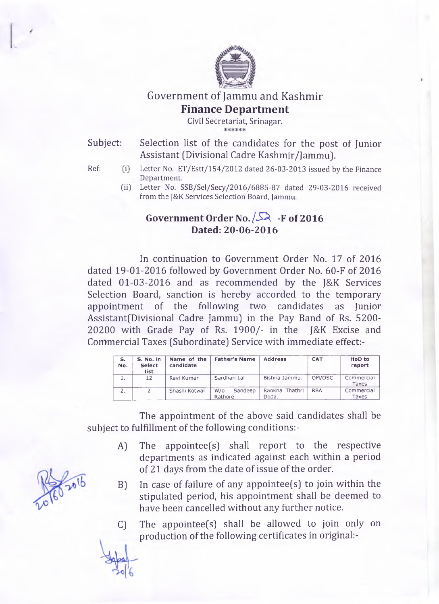

Government of Jammu and Kashmir **Finance Department**

Civil Secretariat, Srinagar.

Subject: Selection list of the candidates for the post of Junior Assistant (Divisional Cadre Kashmir/Jammu].

- 
- Ref: (i) Letter No. ET/Estt/154/2012 dated 26-03-2013 issued by the Finance Department.
	- (ii) Letter No. SSB/Sel/Secy/2016/6885-87 dated 29-03-2016 received from the J&K Services Selection Board, Jammu.

## **Government Order No.** */SX* **-F of 2016 Dated: 20-06-2016**

In continuation to Government Order No. 17 of 2016 dated 19-01-2016 followed by Government Order No. 60-F of 2016 dated 01-03-2016 and as recommended by the J&K Services Selection Board, sanction is hereby accorded to the temporary appointment of the following two candidates as Junior Assistant(Divisional Cadre Jammu) in the Pay Band of Rs. 5200-20200 with Grade Pay of Rs. 1900/- in the J&K Excise and Commercial Taxes (Subordinate] Service with immediate effect:-

| s.<br>No. | S. No. in<br><b>Select</b><br>list | Name of the<br>candidate | <b>Father's Name</b>      | <b>Address</b>          | <b>CAT</b> | <b>HoD</b> to<br>report |
|-----------|------------------------------------|--------------------------|---------------------------|-------------------------|------------|-------------------------|
|           | 12                                 | Ravi Kumar               | Sardhari Lal              | Bishna Jammu.           | OM/OSC     | Commercial<br>Taxes     |
| 2.        |                                    | Shashi Kotwal            | Sandeep<br>W/O<br>Rathore | Rankha Thathri<br>Doda. | <b>RBA</b> | Commercial<br>Taxes     |

The appointment of the above said candidates shall be subject to fulfillment of the following conditions:-

- A] The appointee(s] shall report to the respective departments as indicated against each within a period of 21 days from the date of issue of the order.
- B] In case of failure of any appointee(s] to join within the stipulated period, his appointment shall be deemed to have been cancelled without any further notice.
- C] The appointee(s] shall be allowed to join only on production of the following certificates in original:-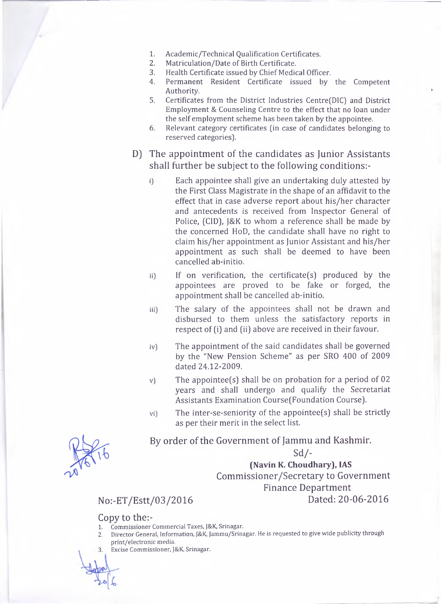- 1. Academic/Technical Qualification Certificates.<br>2. Matriculation/Date of Birth Certificate.
- 2. Matriculation/Date of Birth Certificate.<br>3. Health Certificate issued by Chief Media
- 3. Health Certificate issued by Chief Medical Officer.
- 4. Permanent Resident Certificate issued by the Competent Authority.
- 5. Certificates from the District Industries Centre(DIC) and District Employment & Counseling Centre to the effect that no loan under the self employment scheme has been taken by the appointee.
- 6. Relevant category certificates [in case of candidates belonging to reserved categories).
- D) The appointment of the candidates as Junior Assistants shall further be subject to the following conditions:
	- i) Each appointee shall give an undertaking duly attested by the First Class Magistrate in the shape of an affidavit to the effect that in case adverse report about his/her character and antecedents is received from Inspector General of Police, (CID), J&K to whom a reference shall be made by the concerned HoD, the candidate shall have no right to claim his/her appointment as Junior Assistant and his/her appointment as such shall be deemed to have been cancelled ab-initio.
	- ii) If on verification, the certificate(s) produced by the appointees are proved to be fake or forged, the appointment shall be cancelled ab-initio.
	- iii) The salary of the appointees shall not be drawn and disbursed to them unless the satisfactory reports in respect of (i) and (ii) above are received in their favour.
	- iv) The appointment of the said candidates shall be governed by the "New Pension Scheme" as per SRO 400 of 2009 dated 24.12-2009.
	- v) The appointee(s) shall be on probation for a period of 02 years and shall undergo and qualify the Secretariat Assistants Examination Course(Foundation Course).
	- vi) The inter-se-seniority of the appointee(s) shall be strictly as per their merit in the select list.

By order of the Government of Jammu and Kashmir.

Sd/-

**(Navin K. Choudhary), IAS** Commissioner/Secretary to Government Finance Department No:-ET/Estt/03/2016 Dated: 20-06-2016

## Copy to the:-

- **1. Commissioner Commercial Taxes, J&K, Srinagar.**
- **2. Director General, Information, J&K, Jammu/Srinagar. He is requested to give wide publicity through print/electronic media.**
- **3. Excise Commissioner, J&K, Srinagar.**